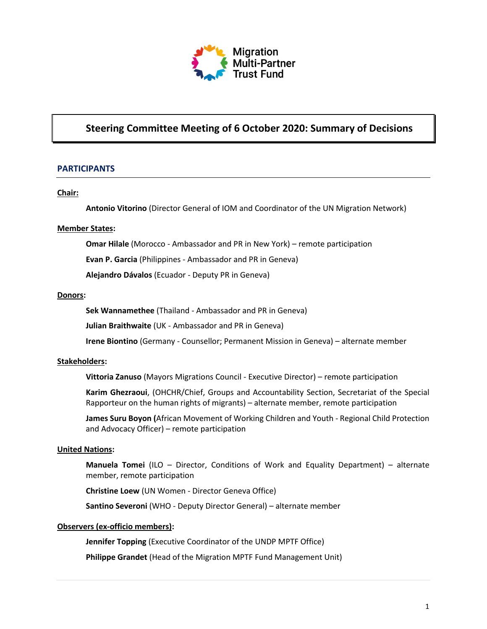

# **Steering Committee Meeting of 6 October 2020: Summary of Decisions**

### **PARTICIPANTS**

#### **Chair:**

**Antonio Vitorino** (Director General of IOM and Coordinator of the UN Migration Network)

#### **Member States:**

**Omar Hilale** (Morocco - Ambassador and PR in New York) – remote participation

**Evan P. Garcia** (Philippines - Ambassador and PR in Geneva)

**Alejandro Dávalos** (Ecuador - Deputy PR in Geneva)

#### **Donors:**

**Sek Wannamethee** (Thailand - Ambassador and PR in Geneva)

**Julian Braithwaite** (UK - Ambassador and PR in Geneva)

**Irene Biontino** (Germany - Counsellor; Permanent Mission in Geneva) – alternate member

#### **Stakeholders:**

**Vittoria Zanuso** (Mayors Migrations Council - Executive Director) – remote participation

**Karim Ghezraoui**, (OHCHR/Chief, Groups and Accountability Section, Secretariat of the Special Rapporteur on the human rights of migrants) – alternate member, remote participation

**James Suru Boyon (**African Movement of Working Children and Youth - Regional Child Protection and Advocacy Officer) – remote participation

#### **United Nations:**

**Manuela Tomei** (ILO – Director, Conditions of Work and Equality Department) – alternate member, remote participation

**Christine Loew** (UN Women - Director Geneva Office)

**Santino Severoni** (WHO - Deputy Director General) – alternate member

#### **Observers (ex-officio members):**

**Jennifer Topping** (Executive Coordinator of the UNDP MPTF Office)

**Philippe Grandet** (Head of the Migration MPTF Fund Management Unit)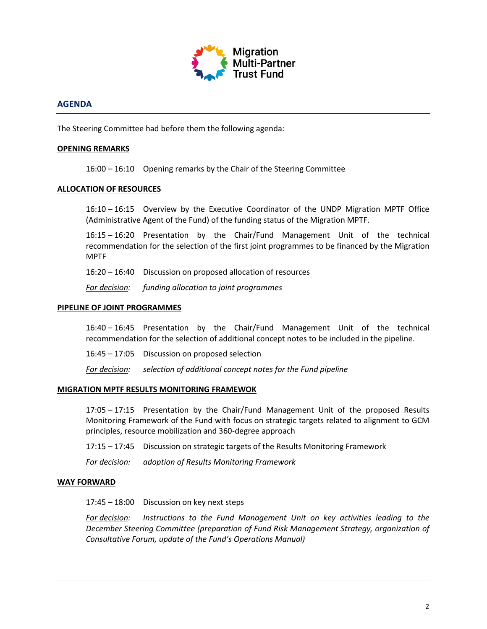

### **AGENDA**

The Steering Committee had before them the following agenda:

#### **OPENING REMARKS**

16:00 – 16:10 Opening remarks by the Chair of the Steering Committee

#### **ALLOCATION OF RESOURCES**

16:10 – 16:15 Overview by the Executive Coordinator of the UNDP Migration MPTF Office (Administrative Agent of the Fund) of the funding status of the Migration MPTF.

16:15 – 16:20 Presentation by the Chair/Fund Management Unit of the technical recommendation for the selection of the first joint programmes to be financed by the Migration MPTF

16:20 – 16:40 Discussion on proposed allocation of resources

*For decision: funding allocation to joint programmes*

#### **PIPELINE OF JOINT PROGRAMMES**

16:40 – 16:45 Presentation by the Chair/Fund Management Unit of the technical recommendation for the selection of additional concept notes to be included in the pipeline.

16:45 – 17:05 Discussion on proposed selection

*For decision: selection of additional concept notes for the Fund pipeline* 

#### **MIGRATION MPTF RESULTS MONITORING FRAMEWOK**

17:05 – 17:15 Presentation by the Chair/Fund Management Unit of the proposed Results Monitoring Framework of the Fund with focus on strategic targets related to alignment to GCM principles, resource mobilization and 360-degree approach

17:15 – 17:45 Discussion on strategic targets of the Results Monitoring Framework

*For decision: adoption of Results Monitoring Framework* 

#### **WAY FORWARD**

17:45 – 18:00 Discussion on key next steps

*For decision: Instructions to the Fund Management Unit on key activities leading to the December Steering Committee (preparation of Fund Risk Management Strategy, organization of Consultative Forum, update of the Fund's Operations Manual)*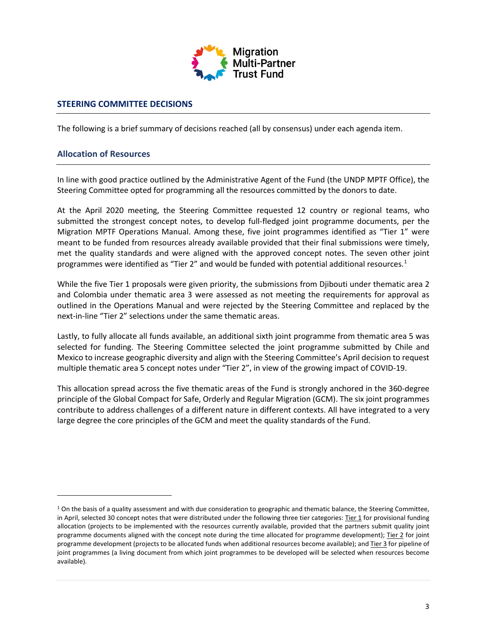

### **STEERING COMMITTEE DECISIONS**

The following is a brief summary of decisions reached (all by consensus) under each agenda item.

### **Allocation of Resources**

In line with good practice outlined by the Administrative Agent of the Fund (the UNDP MPTF Office), the Steering Committee opted for programming all the resources committed by the donors to date.

At the April 2020 meeting, the Steering Committee requested 12 country or regional teams, who submitted the strongest concept notes, to develop full-fledged joint programme documents, per the Migration MPTF Operations Manual. Among these, five joint programmes identified as "Tier 1" were meant to be funded from resources already available provided that their final submissions were timely, met the quality standards and were aligned with the approved concept notes. The seven other joint programmes were identified as "Tier 2" and would be funded with potential additional resources.<sup>[1](#page-2-0)</sup>

While the five Tier 1 proposals were given priority, the submissions from Djibouti under thematic area 2 and Colombia under thematic area 3 were assessed as not meeting the requirements for approval as outlined in the Operations Manual and were rejected by the Steering Committee and replaced by the next-in-line "Tier 2" selections under the same thematic areas.

Lastly, to fully allocate all funds available, an additional sixth joint programme from thematic area 5 was selected for funding. The Steering Committee selected the joint programme submitted by Chile and Mexico to increase geographic diversity and align with the Steering Committee's April decision to request multiple thematic area 5 concept notes under "Tier 2", in view of the growing impact of COVID-19.

This allocation spread across the five thematic areas of the Fund is strongly anchored in the 360-degree principle of the Global Compact for Safe, Orderly and Regular Migration (GCM). The six joint programmes contribute to address challenges of a different nature in different contexts. All have integrated to a very large degree the core principles of the GCM and meet the quality standards of the Fund.

<span id="page-2-0"></span> $1$  On the basis of a quality assessment and with due consideration to geographic and thematic balance, the Steering Committee, in April, selected 30 concept notes that were distributed under the following three tier categories: Tier 1 for provisional funding allocation (projects to be implemented with the resources currently available, provided that the partners submit quality joint programme documents aligned with the concept note during the time allocated for programme development); Tier 2 for joint programme development (projects to be allocated funds when additional resources become available); and Tier 3 for pipeline of joint programmes (a living document from which joint programmes to be developed will be selected when resources become available).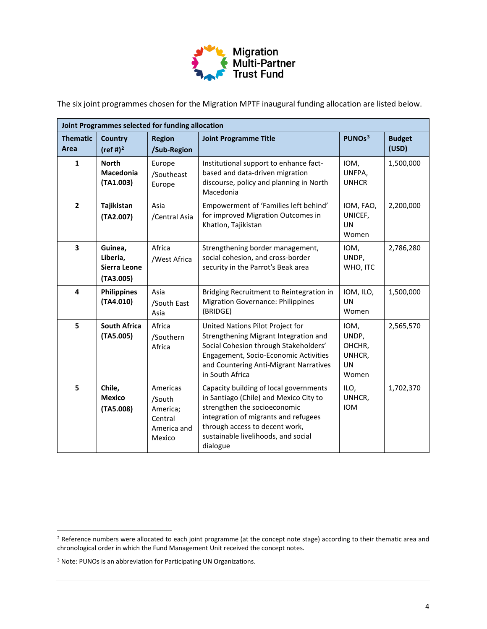

The six joint programmes chosen for the Migration MPTF inaugural funding allocation are listed below.

| Joint Programmes selected for funding allocation |                                                  |                                                                    |                                                                                                                                                                                                                                               |                                                         |                        |  |  |
|--------------------------------------------------|--------------------------------------------------|--------------------------------------------------------------------|-----------------------------------------------------------------------------------------------------------------------------------------------------------------------------------------------------------------------------------------------|---------------------------------------------------------|------------------------|--|--|
| <b>Thematic</b><br>Area                          | <b>Country</b><br>(ref #) <sup>2</sup>           | <b>Region</b><br>/Sub-Region                                       | <b>Joint Programme Title</b>                                                                                                                                                                                                                  | PUNOs <sup>3</sup>                                      | <b>Budget</b><br>(USD) |  |  |
| $\mathbf{1}$                                     | <b>North</b><br><b>Macedonia</b><br>(TA1.003)    | Europe<br>/Southeast<br>Europe                                     | Institutional support to enhance fact-<br>based and data-driven migration<br>discourse, policy and planning in North<br>Macedonia                                                                                                             | IOM,<br>UNFPA,<br><b>UNHCR</b>                          | 1,500,000              |  |  |
| $\mathbf{2}$                                     | Tajikistan<br>(TA2.007)                          | Asia<br>/Central Asia                                              | Empowerment of 'Families left behind'<br>for improved Migration Outcomes in<br>Khatlon, Tajikistan                                                                                                                                            | IOM, FAO,<br>UNICEF,<br>UN<br>Women                     | 2,200,000              |  |  |
| 3                                                | Guinea,<br>Liberia,<br>Sierra Leone<br>(TA3.005) | Africa<br>/West Africa                                             | Strengthening border management,<br>social cohesion, and cross-border<br>security in the Parrot's Beak area                                                                                                                                   | IOM,<br>UNDP,<br>WHO, ITC                               | 2,786,280              |  |  |
| 4                                                | <b>Philippines</b><br>(TA4.010)                  | Asia<br>/South East<br>Asia                                        | Bridging Recruitment to Reintegration in<br><b>Migration Governance: Philippines</b><br>(BRIDGE)                                                                                                                                              | IOM, ILO,<br><b>UN</b><br>Women                         | 1,500,000              |  |  |
| 5                                                | <b>South Africa</b><br>(TA5.005)                 | Africa<br>/Southern<br>Africa                                      | United Nations Pilot Project for<br>Strengthening Migrant Integration and<br>Social Cohesion through Stakeholders'<br>Engagement, Socio-Economic Activities<br>and Countering Anti-Migrant Narratives<br>in South Africa                      | IOM,<br>UNDP,<br>OHCHR,<br>UNHCR,<br><b>UN</b><br>Women | 2,565,570              |  |  |
| 5                                                | Chile,<br><b>Mexico</b><br>(TA5.008)             | Americas<br>/South<br>America;<br>Central<br>America and<br>Mexico | Capacity building of local governments<br>in Santiago (Chile) and Mexico City to<br>strengthen the socioeconomic<br>integration of migrants and refugees<br>through access to decent work,<br>sustainable livelihoods, and social<br>dialogue | ILO,<br>UNHCR,<br><b>IOM</b>                            | 1,702,370              |  |  |

<span id="page-3-0"></span><sup>&</sup>lt;sup>2</sup> Reference numbers were allocated to each joint programme (at the concept note stage) according to their thematic area and chronological order in which the Fund Management Unit received the concept notes.

<span id="page-3-1"></span><sup>3</sup> Note: PUNOs is an abbreviation for Participating UN Organizations.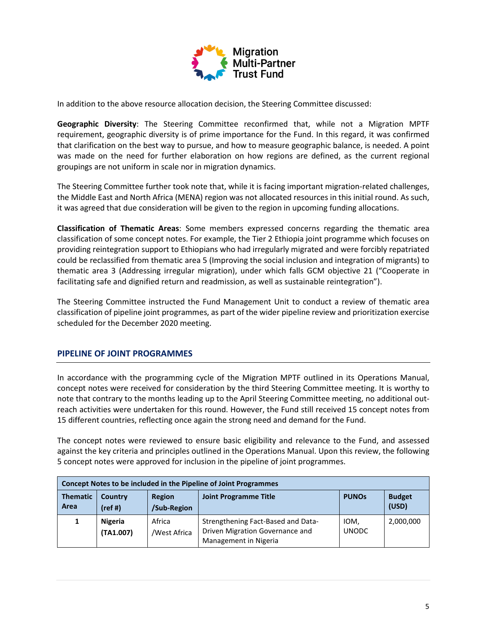

In addition to the above resource allocation decision, the Steering Committee discussed:

**Geographic Diversity**: The Steering Committee reconfirmed that, while not a Migration MPTF requirement, geographic diversity is of prime importance for the Fund. In this regard, it was confirmed that clarification on the best way to pursue, and how to measure geographic balance, is needed. A point was made on the need for further elaboration on how regions are defined, as the current regional groupings are not uniform in scale nor in migration dynamics.

The Steering Committee further took note that, while it is facing important migration-related challenges, the Middle East and North Africa (MENA) region was not allocated resources in this initial round. As such, it was agreed that due consideration will be given to the region in upcoming funding allocations.

**Classification of Thematic Areas**: Some members expressed concerns regarding the thematic area classification of some concept notes. For example, the Tier 2 Ethiopia joint programme which focuses on providing reintegration support to Ethiopians who had irregularly migrated and were forcibly repatriated could be reclassified from thematic area 5 (Improving the social inclusion and integration of migrants) to thematic area 3 (Addressing irregular migration), under which falls GCM objective 21 ("Cooperate in facilitating safe and dignified return and readmission, as well as sustainable reintegration").

The Steering Committee instructed the Fund Management Unit to conduct a review of thematic area classification of pipeline joint programmes, as part of the wider pipeline review and prioritization exercise scheduled for the December 2020 meeting.

# **PIPELINE OF JOINT PROGRAMMES**

In accordance with the programming cycle of the Migration MPTF outlined in its Operations Manual, concept notes were received for consideration by the third Steering Committee meeting. It is worthy to note that contrary to the months leading up to the April Steering Committee meeting, no additional outreach activities were undertaken for this round. However, the Fund still received 15 concept notes from 15 different countries, reflecting once again the strong need and demand for the Fund.

The concept notes were reviewed to ensure basic eligibility and relevance to the Fund, and assessed against the key criteria and principles outlined in the Operations Manual. Upon this review, the following 5 concept notes were approved for inclusion in the pipeline of joint programmes.

| Concept Notes to be included in the Pipeline of Joint Programmes |                             |                        |                                                                                                |                      |                        |  |  |  |
|------------------------------------------------------------------|-----------------------------|------------------------|------------------------------------------------------------------------------------------------|----------------------|------------------------|--|--|--|
| <b>Thematic</b><br>Area                                          | Country<br>(ref#)           | Region<br>/Sub-Region  | <b>Joint Programme Title</b>                                                                   | <b>PUNOS</b>         | <b>Budget</b><br>(USD) |  |  |  |
| 1                                                                | <b>Nigeria</b><br>(TA1.007) | Africa<br>/West Africa | Strengthening Fact-Based and Data-<br>Driven Migration Governance and<br>Management in Nigeria | IOM,<br><b>UNODC</b> | 2,000,000              |  |  |  |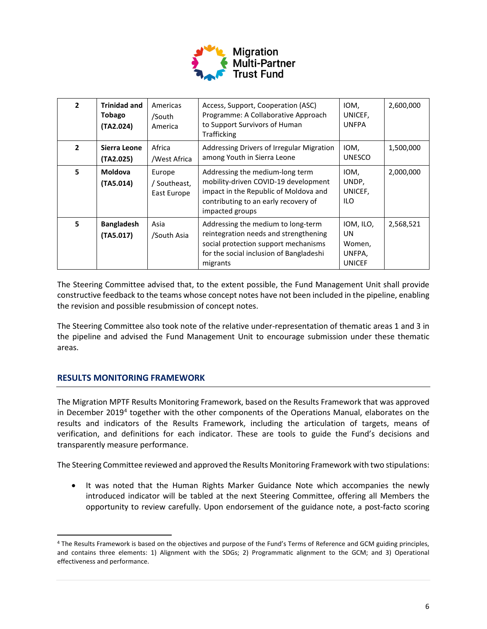

| $\mathbf{2}$ | <b>Trinidad and</b><br><b>Tobago</b><br>(TA2.024) | Americas<br>/South<br>America         | Access, Support, Cooperation (ASC)<br>Programme: A Collaborative Approach<br>to Support Survivors of Human<br>Trafficking                                                   | IOM,<br>UNICEF,<br><b>UNFPA</b>                      | 2,600,000 |
|--------------|---------------------------------------------------|---------------------------------------|-----------------------------------------------------------------------------------------------------------------------------------------------------------------------------|------------------------------------------------------|-----------|
| $\mathbf{2}$ | Sierra Leone<br>(TA2.025)                         | Africa<br>/West Africa                | Addressing Drivers of Irregular Migration<br>among Youth in Sierra Leone                                                                                                    | IOM,<br><b>UNESCO</b>                                | 1,500,000 |
| 5            | <b>Moldova</b><br>(TA5.014)                       | Europe<br>/ Southeast,<br>East Europe | Addressing the medium-long term<br>mobility-driven COVID-19 development<br>impact in the Republic of Moldova and<br>contributing to an early recovery of<br>impacted groups | IOM,<br>UNDP,<br>UNICEF,<br>ILO                      | 2,000,000 |
| 5            | <b>Bangladesh</b><br>(TA5.017)                    | Asia<br>/South Asia                   | Addressing the medium to long-term<br>reintegration needs and strengthening<br>social protection support mechanisms<br>for the social inclusion of Bangladeshi<br>migrants  | IOM, ILO,<br>UN<br>Women,<br>UNFPA,<br><b>UNICEF</b> | 2,568,521 |

The Steering Committee advised that, to the extent possible, the Fund Management Unit shall provide constructive feedback to the teams whose concept notes have not been included in the pipeline, enabling the revision and possible resubmission of concept notes.

The Steering Committee also took note of the relative under-representation of thematic areas 1 and 3 in the pipeline and advised the Fund Management Unit to encourage submission under these thematic areas.

# **RESULTS MONITORING FRAMEWORK**

The Migration MPTF Results Monitoring Framework, based on the Results Framework that was approved in December 2019<sup>[4](#page-5-0)</sup> together with the other components of the Operations Manual, elaborates on the results and indicators of the Results Framework, including the articulation of targets, means of verification, and definitions for each indicator. These are tools to guide the Fund's decisions and transparently measure performance.

The Steering Committee reviewed and approved the Results Monitoring Framework with two stipulations:

• It was noted that the Human Rights Marker Guidance Note which accompanies the newly introduced indicator will be tabled at the next Steering Committee, offering all Members the opportunity to review carefully. Upon endorsement of the guidance note, a post-facto scoring

<span id="page-5-0"></span><sup>4</sup> The Results Framework is based on the objectives and purpose of the Fund's Terms of Reference and GCM guiding principles, and contains three elements: 1) Alignment with the SDGs; 2) Programmatic alignment to the GCM; and 3) Operational effectiveness and performance.